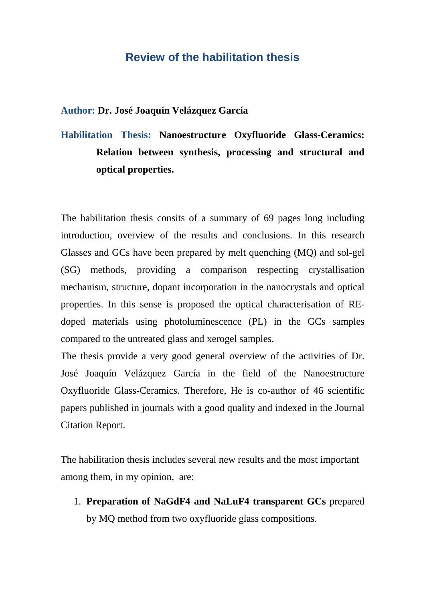## **Review of the habilitation thesis**

## **Author: Dr. José Joaquín Velázquez García**

**Habilitation Thesis: Nanoestructure Oxyfluoride Glass-Ceramics: Relation between synthesis, processing and structural and optical properties.** 

The habilitation thesis consits of a summary of 69 pages long including introduction, overview of the results and conclusions. In this research Glasses and GCs have been prepared by melt quenching (MQ) and sol-gel (SG) methods, providing a comparison respecting crystallisation mechanism, structure, dopant incorporation in the nanocrystals and optical properties. In this sense is proposed the optical characterisation of REdoped materials using photoluminescence (PL) in the GCs samples compared to the untreated glass and xerogel samples.

The thesis provide a very good general overview of the activities of Dr. José Joaquín Velázquez García in the field of the Nanoestructure Oxyfluoride Glass-Ceramics. Therefore, He is co-author of 46 scientific papers published in journals with a good quality and indexed in the Journal Citation Report.

The habilitation thesis includes several new results and the most important among them, in my opinion, are:

1. **Preparation of NaGdF4 and NaLuF4 transparent GCs** prepared by MQ method from two oxyfluoride glass compositions.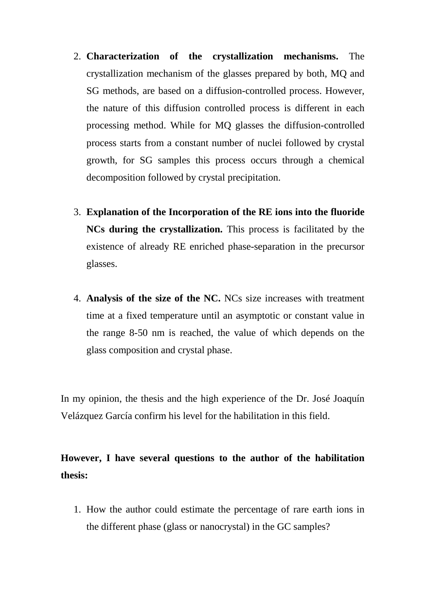- 2. **Characterization of the crystallization mechanisms.** The crystallization mechanism of the glasses prepared by both, MQ and SG methods, are based on a diffusion-controlled process. However, the nature of this diffusion controlled process is different in each processing method. While for MQ glasses the diffusion-controlled process starts from a constant number of nuclei followed by crystal growth, for SG samples this process occurs through a chemical decomposition followed by crystal precipitation.
- 3. **Explanation of the Incorporation of the RE ions into the fluoride NCs during the crystallization.** This process is facilitated by the existence of already RE enriched phase-separation in the precursor glasses.
- 4. **Analysis of the size of the NC.** NCs size increases with treatment time at a fixed temperature until an asymptotic or constant value in the range 8-50 nm is reached, the value of which depends on the glass composition and crystal phase.

In my opinion, the thesis and the high experience of the Dr. José Joaquín Velázquez García confirm his level for the habilitation in this field.

## **However, I have several questions to the author of the habilitation thesis:**

1. How the author could estimate the percentage of rare earth ions in the different phase (glass or nanocrystal) in the GC samples?